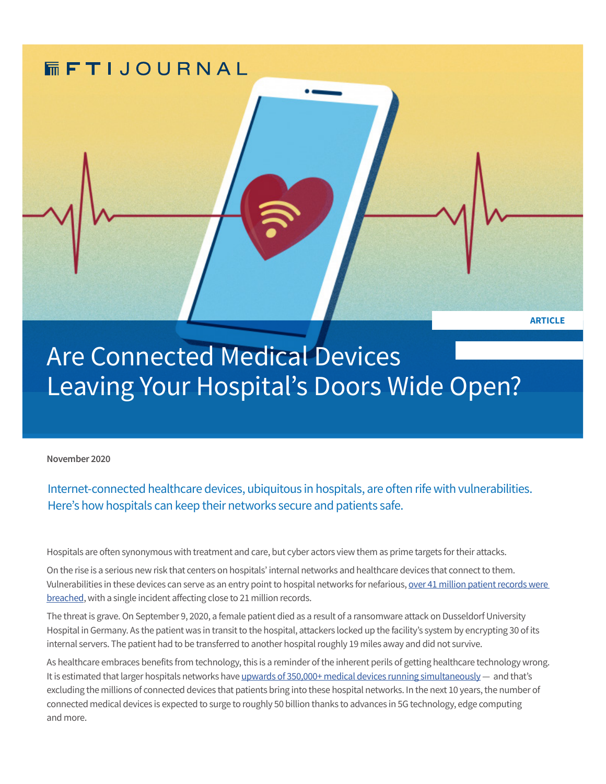

Are Connected Medical Devices Leaving Your Hospital's Doors Wide Open?

**November 2020** 

Internet-connected healthcare devices, ubiquitous in hospitals, are often rife with vulnerabilities. Here's how hospitals can keep their networks secure and patients safe.

Hospitals are often synonymous with treatment and care, but cyber actors view them as prime targets for their attacks.

On the rise is a serious new risk that centers on hospitals' internal networks and healthcare devices that connect to them. Vulnerabilities in these devices can serve as an entry point to hospital networks for nefarious, [over 41 million patient records were](https://www.fiercehealthcare.com/tech/number-patient-records-breached-2019-almost-tripled-from-2018-as-healthcare-faces-new-threats)  [breached,](https://www.fiercehealthcare.com/tech/number-patient-records-breached-2019-almost-tripled-from-2018-as-healthcare-faces-new-threats) with a single incident affecting close to 21 million records.

The threat is grave. On September 9, 2020, a female patient died as a result of a ransomware attack on Dusseldorf University Hospital in Germany. As the patient was in transit to the hospital, attackers locked up the facility's system by encrypting 30 of its internal servers. The patient had to be transferred to another hospital roughly 19 miles away and did not survive.

As healthcare embraces benefits from technology, this is a reminder of the inherent perils of getting healthcare technology wrong. It is estimated that larger hospitals networks have [upwards of 350,000+ medical devices running simultaneously](https://www.helpnetsecurity.com/2020/10/06/working-together-to-secure-our-expanding-connected-health-future/) — and that's excluding the millions of connected devices that patients bring into these hospital networks. In the next 10 years, the number of connected medical devices is expected to surge to roughly 50 billion thanks to advances in 5G technology, edge computing and more.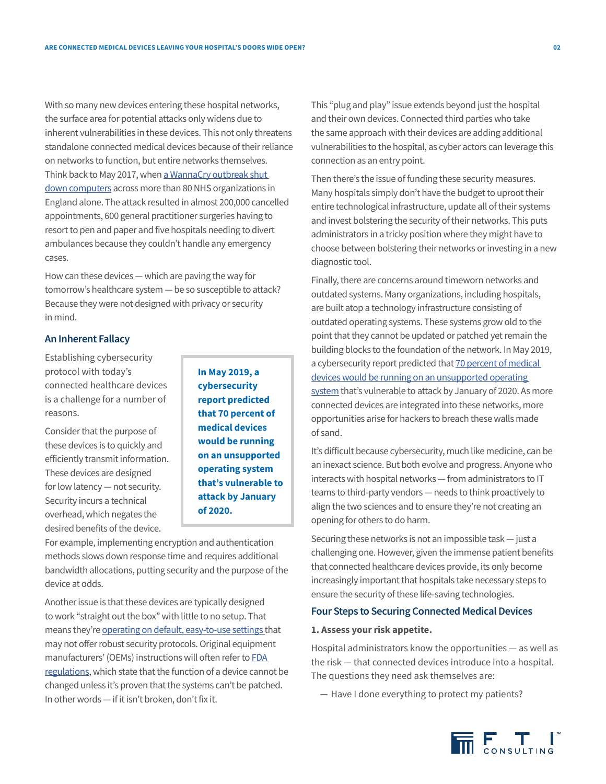With so many new devices entering these hospital networks, the surface area for potential attacks only widens due to inherent vulnerabilities in these devices. This not only threatens standalone connected medical devices because of their reliance on networks to function, but entire networks themselves. Think back to May 2017, when a WannaCry outbreak shut [down computers](https://www.theguardian.com/technology/2017/dec/30/wannacry-petya-notpetya-ransomware) across more than 80 NHS organizations in England alone. The attack resulted in almost 200,000 cancelled appointments, 600 general practitioner surgeries having to resort to pen and paper and five hospitals needing to divert ambulances because they couldn't handle any emergency cases.

How can these devices — which are paving the way for tomorrow's healthcare system — be so susceptible to attack? Because they were not designed with privacy or security in mind.

#### **An Inherent Fallacy**

Establishing cybersecurity protocol with today's connected healthcare devices is a challenge for a number of reasons.

Consider that the purpose of these devices is to quickly and efficiently transmit information. These devices are designed for low latency — not security. Security incurs a technical overhead, which negates the desired benefits of the device.

**In May 2019, a cybersecurity report predicted that 70 percent of medical devices would be running on an unsupported operating system that's vulnerable to attack by January of 2020.**

For example, implementing encryption and authentication methods slows down response time and requires additional bandwidth allocations, putting security and the purpose of the device at odds.

Another issue is that these devices are typically designed to work "straight out the box" with little to no setup. That means they're [operating on default, easy-to-use settings t](https://www.pm360online.com/the-reality-of-connected-medical-devices/)hat may not offer robust security protocols. Original equipment manufacturers' (OEMs) instructions will often refer to **FDA** [regulations,](https://www.fda.gov/medical-devices/quality-system-qs-regulationmedical-device-good-manufacturing-practices/medical-devices-current-good-manufacturing-practice-cgmp-final-rule-quality-system-regulation) which state that the function of a device cannot be changed unless it's proven that the systems can't be patched. In other words — if it isn't broken, don't fix it.

This "plug and play" issue extends beyond just the hospital and their own devices. Connected third parties who take the same approach with their devices are adding additional vulnerabilities to the hospital, as cyber actors can leverage this connection as an entry point.

Then there's the issue of funding these security measures. Many hospitals simply don't have the budget to uproot their entire technological infrastructure, update all of their systems and invest bolstering the security of their networks. This puts administrators in a tricky position where they might have to choose between bolstering their networks or investing in a new diagnostic tool.

Finally, there are concerns around timeworn networks and outdated systems. Many organizations, including hospitals, are built atop a technology infrastructure consisting of outdated operating systems. These systems grow old to the point that they cannot be updated or patched yet remain the building blocks to the foundation of the network. In May 2019, a cybersecurity report predicted that 70 percent of medical [devices would be running on an unsupported operating](http://www.fiercehealthcare.com/tech/medical-devices-running-legacy-windows-operating-system)  [system](http://www.fiercehealthcare.com/tech/medical-devices-running-legacy-windows-operating-system) that's vulnerable to attack by January of 2020. As more connected devices are integrated into these networks, more opportunities arise for hackers to breach these walls made of sand.

It's difficult because cybersecurity, much like medicine, can be an inexact science. But both evolve and progress. Anyone who interacts with hospital networks — from administrators to IT teams to third-party vendors — needs to think proactively to align the two sciences and to ensure they're not creating an opening for others to do harm.

Securing these networks is not an impossible task — just a challenging one. However, given the immense patient benefits that connected healthcare devices provide, its only become increasingly important that hospitals take necessary steps to ensure the security of these life-saving technologies.

# **Four Steps to Securing Connected Medical Devices**

## **1. Assess your risk appetite.**

Hospital administrators know the opportunities — as well as the risk — that connected devices introduce into a hospital. The questions they need ask themselves are:

**—** Have I done everything to protect my patients?